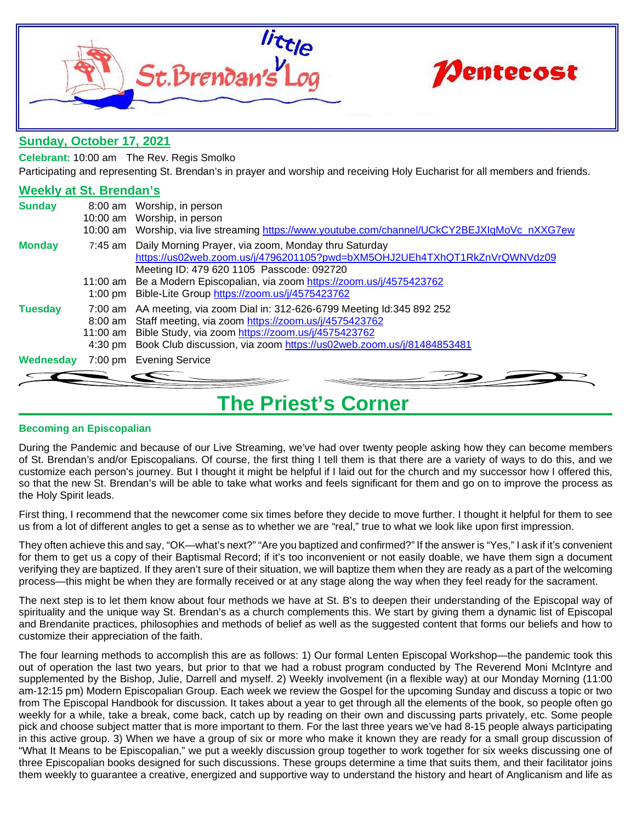



## **Sunday, October 17, 2021**

**Celebrant:** 10:00 am The Rev. Regis Smolko

Participating and representing St. Brendan's in prayer and worship and receiving Holy Eucharist for all members and friends.

## **Weekly at St. Brendan's**

| <b>Sunday</b>  | 8:00 am Worship, in person<br>10:00 am Worship, in person<br>10:00 am Worship, via live streaming https://www.youtube.com/channel/UCkCY2BEJXIqMoVc nXXG7ew                                                                                                                                                                  |
|----------------|-----------------------------------------------------------------------------------------------------------------------------------------------------------------------------------------------------------------------------------------------------------------------------------------------------------------------------|
| <b>Monday</b>  | 7:45 am Daily Morning Prayer, via zoom, Monday thru Saturday<br>https://us02web.zoom.us/j/4796201105?pwd=bXM5OHJ2UEh4TXhQT1RkZnVrQWNVdz09<br>Meeting ID: 479 620 1105 Passcode: 092720<br>11:00 am Be a Modern Episcopalian, via zoom https://zoom.us/j/4575423762<br>1:00 pm Bible-Lite Group https://zoom.us/j/4575423762 |
| <b>Tuesday</b> | 7:00 am AA meeting, via zoom Dial in: 312-626-6799 Meeting Id:345 892 252<br>8:00 am Staff meeting, via zoom https://zoom.us/j/4575423762<br>11:00 am Bible Study, via zoom https://zoom.us/j/4575423762<br>4:30 pm Book Club discussion, via zoom https://us02web.zoom.us/j/81484853481                                    |
|                | <b>Wednesday</b> 7:00 pm Evening Service                                                                                                                                                                                                                                                                                    |
|                |                                                                                                                                                                                                                                                                                                                             |

## **The Priest's Corner**

## **Becoming an Episcopalian**

During the Pandemic and because of our Live Streaming, we've had over twenty people asking how they can become members of St. Brendan's and/or Episcopalians. Of course, the first thing I tell them is that there are a variety of ways to do this, and we customize each person's journey. But I thought it might be helpful if I laid out for the church and my successor how I offered this, so that the new St. Brendan's will be able to take what works and feels significant for them and go on to improve the process as the Holy Spirit leads.

First thing, I recommend that the newcomer come six times before they decide to move further. I thought it helpful for them to see us from a lot of different angles to get a sense as to whether we are "real," true to what we look like upon first impression.

They often achieve this and say, "OK—what's next?" "Are you baptized and confirmed?" If the answer is "Yes," I ask if it's convenient for them to get us a copy of their Baptismal Record; if it's too inconvenient or not easily doable, we have them sign a document verifying they are baptized. If they aren't sure of their situation, we will baptize them when they are ready as a part of the welcoming process—this might be when they are formally received or at any stage along the way when they feel ready for the sacrament.

The next step is to let them know about four methods we have at St. B's to deepen their understanding of the Episcopal way of spirituality and the unique way St. Brendan's as a church complements this. We start by giving them a dynamic list of Episcopal and Brendanite practices, philosophies and methods of belief as well as the suggested content that forms our beliefs and how to customize their appreciation of the faith.

The four learning methods to accomplish this are as follows: 1) Our formal Lenten Episcopal Workshop—the pandemic took this out of operation the last two years, but prior to that we had a robust program conducted by The Reverend Moni McIntyre and supplemented by the Bishop, Julie, Darrell and myself. 2) Weekly involvement (in a flexible way) at our Monday Morning (11:00 am-12:15 pm) Modern Episcopalian Group. Each week we review the Gospel for the upcoming Sunday and discuss a topic or two from The Episcopal Handbook for discussion. It takes about a year to get through all the elements of the book, so people often go weekly for a while, take a break, come back, catch up by reading on their own and discussing parts privately, etc. Some people pick and choose subject matter that is more important to them. For the last three years we've had 8-15 people always participating in this active group. 3) When we have a group of six or more who make it known they are ready for a small group discussion of "What It Means to be Episcopalian," we put a weekly discussion group together to work together for six weeks discussing one of three Episcopalian books designed for such discussions. These groups determine a time that suits them, and their facilitator joins them weekly to guarantee a creative, energized and supportive way to understand the history and heart of Anglicanism and life as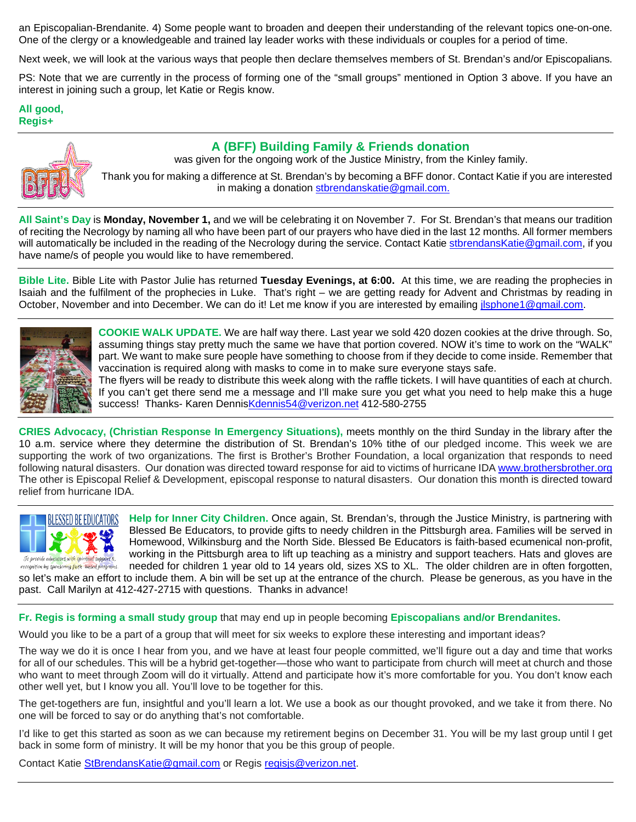an Episcopalian-Brendanite. 4) Some people want to broaden and deepen their understanding of the relevant topics one-on-one. One of the clergy or a knowledgeable and trained lay leader works with these individuals or couples for a period of time.

Next week, we will look at the various ways that people then declare themselves members of St. Brendan's and/or Episcopalians.

PS: Note that we are currently in the process of forming one of the "small groups" mentioned in Option 3 above. If you have an interest in joining such a group, let Katie or Regis know.

**All good, Regis+**



 **A (BFF) Building Family & Friends donation** was given for the ongoing work of the Justice Ministry, from the Kinley family.

Thank you for making a difference at St. Brendan's by becoming a BFF donor. Contact Katie if you are interested in making a donation [stbrendanskatie@gmail.com.](mailto:stbrendanskatie@gmail.com)

**All Saint's Day** is **Monday, November 1,** and we will be celebrating it on November 7. For St. Brendan's that means our tradition of reciting the Necrology by naming all who have been part of our prayers who have died in the last 12 months. All former members will automatically be included in the reading of the Necrology during the service. Contact Kati[e stbrendansKatie@gmail.com,](mailto:stbrendansKatie@gmail.com) if you have name/s of people you would like to have remembered.

**Bible Lite.** Bible Lite with Pastor Julie has returned **Tuesday Evenings, at 6:00.** At this time, we are reading the prophecies in Isaiah and the fulfilment of the prophecies in Luke. That's right – we are getting ready for Advent and Christmas by reading in October, November and into December. We can do it! Let me know if you are interested by emailing ilsphone1@gmail.com.



**COOKIE WALK UPDATE.** We are half way there. Last year we sold 420 dozen cookies at the drive through. So, assuming things stay pretty much the same we have that portion covered. NOW it's time to work on the "WALK" part. We want to make sure people have something to choose from if they decide to come inside. Remember that vaccination is required along with masks to come in to make sure everyone stays safe.

The flyers will be ready to distribute this week along with the raffle tickets. I will have quantities of each at church. If you can't get there send me a message and I'll make sure you get what you need to help make this a huge success! Thanks- Karen Denni[sKdennis54@verizon.net](mailto:Kdennis54@verizon.net) 412-580-2755

**CRIES Advocacy, (Christian Response In Emergency Situations),** meets monthly on the third Sunday in the library after the 10 a.m. service where they determine the distribution of St. Brendan's 10% tithe of our pledged income. This week we are supporting the work of two organizations. The first is Brother's Brother Foundation, a local organization that responds to need following natural disasters. Our donation was directed toward response for aid to victims of hurricane ID[A www.brothersbrother.org](http://www.brothersbrother.org/) The other is Episcopal Relief & Development, episcopal response to natural disasters. Our donation this month is directed toward relief from hurricane IDA.



**Help for Inner City Children.** Once again, St. Brendan's, through the Justice Ministry, is partnering with Blessed Be Educators, to provide gifts to needy children in the Pittsburgh area. Families will be served in Homewood, Wilkinsburg and the North Side. Blessed Be Educators is faith-based ecumenical non-profit, working in the Pittsburgh area to lift up teaching as a ministry and support teachers. Hats and gloves are needed for children 1 year old to 14 years old, sizes XS to XL. The older children are in often forgotten,

so let's make an effort to include them. A bin will be set up at the entrance of the church. Please be generous, as you have in the past. Call Marilyn at 412-427-2715 with questions. Thanks in advance!

**Fr. Regis is forming a small study group** that may end up in people becoming **Episcopalians and/or Brendanites.**

Would you like to be a part of a group that will meet for six weeks to explore these interesting and important ideas?

The way we do it is once I hear from you, and we have at least four people committed, we'll figure out a day and time that works for all of our schedules. This will be a hybrid get-together—those who want to participate from church will meet at church and those who want to meet through Zoom will do it virtually. Attend and participate how it's more comfortable for you. You don't know each other well yet, but I know you all. You'll love to be together for this.

The get-togethers are fun, insightful and you'll learn a lot. We use a book as our thought provoked, and we take it from there. No one will be forced to say or do anything that's not comfortable.

I'd like to get this started as soon as we can because my retirement begins on December 31. You will be my last group until I get back in some form of ministry. It will be my honor that you be this group of people.

Contact Katie [StBrendansKatie@gmail.com](mailto:StBrendansKatie@gmail.com) or Regis [regisjs@verizon.net.](mailto:regisjs@verizon.net)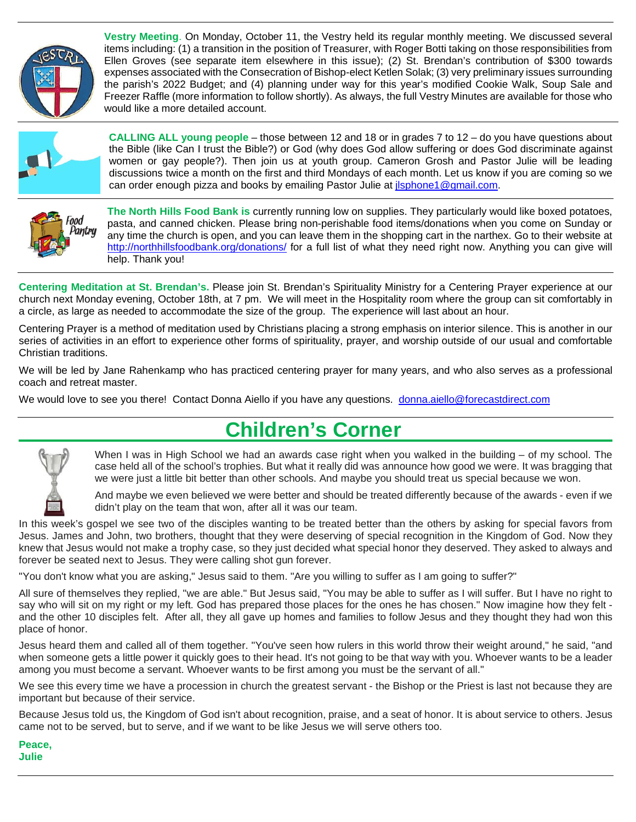

**Vestry Meeting**. On Monday, October 11, the Vestry held its regular monthly meeting. We discussed several items including: (1) a transition in the position of Treasurer, with Roger Botti taking on those responsibilities from Ellen Groves (see separate item elsewhere in this issue); (2) St. Brendan's contribution of \$300 towards expenses associated with the Consecration of Bishop-elect Ketlen Solak; (3) very preliminary issues surrounding the parish's 2022 Budget; and (4) planning under way for this year's modified Cookie Walk, Soup Sale and Freezer Raffle (more information to follow shortly). As always, the full Vestry Minutes are available for those who would like a more detailed account.



**CALLING ALL young people** – those between 12 and 18 or in grades 7 to 12 – do you have questions about the Bible (like Can I trust the Bible?) or God (why does God allow suffering or does God discriminate against women or gay people?). Then join us at youth group. Cameron Grosh and Pastor Julie will be leading discussions twice a month on the first and third Mondays of each month. Let us know if you are coming so we can order enough pizza and books by emailing Pastor Julie a[t jlsphone1@gmail.com.](mailto:jlsphone1@gmail.com)



**The North Hills Food Bank is** currently running low on supplies. They particularly would like boxed potatoes, pasta, and canned chicken. Please bring non-perishable food items/donations when you come on Sunday or any time the church is open, and you can leave them in the shopping cart in the narthex. Go to their website at <http://northhillsfoodbank.org/donations/> for a full list of what they need right now. Anything you can give will help. Thank you!

**Centering Meditation at St. Brendan's.** Please join St. Brendan's Spirituality Ministry for a Centering Prayer experience at our church next Monday evening, October 18th, at 7 pm. We will meet in the Hospitality room where the group can sit comfortably in a circle, as large as needed to accommodate the size of the group. The experience will last about an hour.

Centering Prayer is a method of meditation used by Christians placing a strong emphasis on interior silence. This is another in our series of activities in an effort to experience other forms of spirituality, prayer, and worship outside of our usual and comfortable Christian traditions.

We will be led by Jane Rahenkamp who has practiced centering prayer for many years, and who also serves as a professional coach and retreat master.

We would love to see you there! Contact Donna Aiello if you have any questions. [donna.aiello@forecastdirect.com](mailto:donna.aiello@forecastdirect.com)

## **Children's Corner**



When I was in High School we had an awards case right when you walked in the building – of my school. The case held all of the school's trophies. But what it really did was announce how good we were. It was bragging that we were just a little bit better than other schools. And maybe you should treat us special because we won.

And maybe we even believed we were better and should be treated differently because of the awards - even if we didn't play on the team that won, after all it was our team.

In this week's gospel we see two of the disciples wanting to be treated better than the others by asking for special favors from Jesus. James and John, two brothers, thought that they were deserving of special recognition in the Kingdom of God. Now they knew that Jesus would not make a trophy case, so they just decided what special honor they deserved. They asked to always and forever be seated next to Jesus. They were calling shot gun forever.

"You don't know what you are asking," Jesus said to them. "Are you willing to suffer as I am going to suffer?"

All sure of themselves they replied, "we are able." But Jesus said, "You may be able to suffer as I will suffer. But I have no right to say who will sit on my right or my left. God has prepared those places for the ones he has chosen." Now imagine how they felt and the other 10 disciples felt. After all, they all gave up homes and families to follow Jesus and they thought they had won this place of honor.

Jesus heard them and called all of them together. "You've seen how rulers in this world throw their weight around," he said, "and when someone gets a little power it quickly goes to their head. It's not going to be that way with you. Whoever wants to be a leader among you must become a servant. Whoever wants to be first among you must be the servant of all."

We see this every time we have a procession in church the greatest servant - the Bishop or the Priest is last not because they are important but because of their service.

Because Jesus told us, the Kingdom of God isn't about recognition, praise, and a seat of honor. It is about service to others. Jesus came not to be served, but to serve, and if we want to be like Jesus we will serve others too.

**Peace, Julie**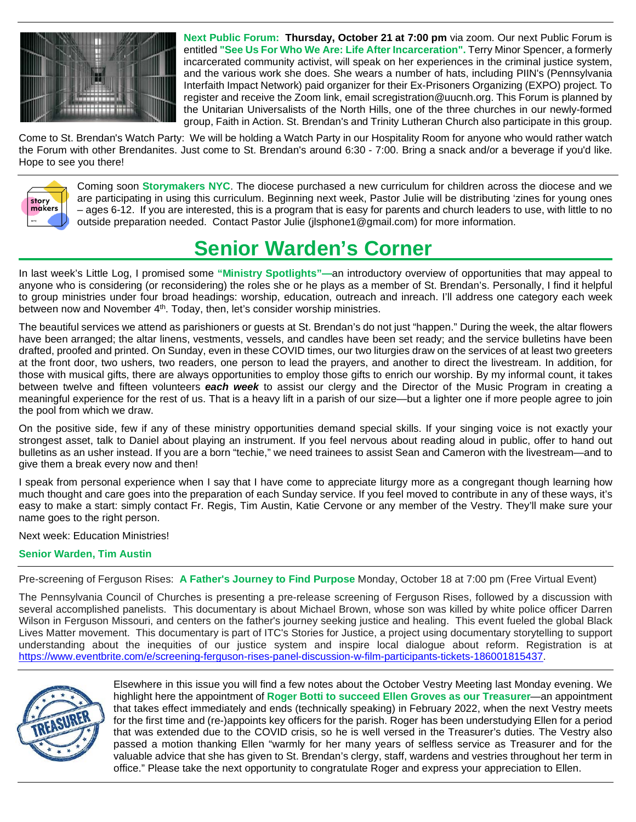

**Next Public Forum: Thursday, October 21 at 7:00 pm** via zoom. Our next Public Forum is entitled **"See Us For Who We Are: Life After Incarceration".** Terry Minor Spencer, a formerly incarcerated community activist, will speak on her experiences in the criminal justice system, and the various work she does. She wears a number of hats, including PIIN's (Pennsylvania Interfaith Impact Network) paid organizer for their Ex-Prisoners Organizing (EXPO) project. To register and receive the Zoom link, email scregistration@uucnh.org. This Forum is planned by the Unitarian Universalists of the North Hills, one of the three churches in our newly-formed group, Faith in Action. St. Brendan's and Trinity Lutheran Church also participate in this group.

Come to St. Brendan's Watch Party: We will be holding a Watch Party in our Hospitality Room for anyone who would rather watch the Forum with other Brendanites. Just come to St. Brendan's around 6:30 - 7:00. Bring a snack and/or a beverage if you'd like. Hope to see you there!



Coming soon **Storymakers NYC**. The diocese purchased a new curriculum for children across the diocese and we are participating in using this curriculum. Beginning next week, Pastor Julie will be distributing 'zines for young ones – ages 6-12. If you are interested, this is a program that is easy for parents and church leaders to use, with little to no outside preparation needed. Contact Pastor Julie (jlsphone1@gmail.com) for more information.

## **Senior Warden's Corner**

In last week's Little Log, I promised some **"Ministry Spotlights"—**an introductory overview of opportunities that may appeal to anyone who is considering (or reconsidering) the roles she or he plays as a member of St. Brendan's. Personally, I find it helpful to group ministries under four broad headings: worship, education, outreach and inreach. I'll address one category each week between now and November  $4<sup>th</sup>$ . Today, then, let's consider worship ministries.

The beautiful services we attend as parishioners or guests at St. Brendan's do not just "happen." During the week, the altar flowers have been arranged; the altar linens, vestments, vessels, and candles have been set ready; and the service bulletins have been drafted, proofed and printed. On Sunday, even in these COVID times, our two liturgies draw on the services of at least two greeters at the front door, two ushers, two readers, one person to lead the prayers, and another to direct the livestream. In addition, for those with musical gifts, there are always opportunities to employ those gifts to enrich our worship. By my informal count, it takes between twelve and fifteen volunteers *each week* to assist our clergy and the Director of the Music Program in creating a meaningful experience for the rest of us. That is a heavy lift in a parish of our size—but a lighter one if more people agree to join the pool from which we draw.

On the positive side, few if any of these ministry opportunities demand special skills. If your singing voice is not exactly your strongest asset, talk to Daniel about playing an instrument. If you feel nervous about reading aloud in public, offer to hand out bulletins as an usher instead. If you are a born "techie," we need trainees to assist Sean and Cameron with the livestream—and to give them a break every now and then!

I speak from personal experience when I say that I have come to appreciate liturgy more as a congregant though learning how much thought and care goes into the preparation of each Sunday service. If you feel moved to contribute in any of these ways, it's easy to make a start: simply contact Fr. Regis, Tim Austin, Katie Cervone or any member of the Vestry. They'll make sure your name goes to the right person.

Next week: Education Ministries!

## **Senior Warden, Tim Austin**

Pre-screening of Ferguson Rises: **A Father's Journey to Find Purpose** Monday, October 18 at 7:00 pm (Free Virtual Event)

The Pennsylvania Council of Churches is presenting a pre-release screening of Ferguson Rises, followed by a discussion with several accomplished panelists. This documentary is about Michael Brown, whose son was killed by white police officer Darren Wilson in Ferguson Missouri, and centers on the father's journey seeking justice and healing. This event fueled the global Black Lives Matter movement. This documentary is part of ITC's Stories for Justice, a project using documentary storytelling to support understanding about the inequities of our justice system and inspire local dialogue about reform. Registration is at [https://www.eventbrite.com/e/screening-ferguson-rises-panel-discussion-w-film-participants-tickets-186001815437.](https://www.eventbrite.com/e/screening-ferguson-rises-panel-discussion-w-film-participants-tickets-186001815437)



Elsewhere in this issue you will find a few notes about the October Vestry Meeting last Monday evening. We highlight here the appointment of **Roger Botti to succeed Ellen Groves as our Treasurer**—an appointment that takes effect immediately and ends (technically speaking) in February 2022, when the next Vestry meets for the first time and (re-)appoints key officers for the parish. Roger has been understudying Ellen for a period that was extended due to the COVID crisis, so he is well versed in the Treasurer's duties. The Vestry also passed a motion thanking Ellen "warmly for her many years of selfless service as Treasurer and for the valuable advice that she has given to St. Brendan's clergy, staff, wardens and vestries throughout her term in office." Please take the next opportunity to congratulate Roger and express your appreciation to Ellen.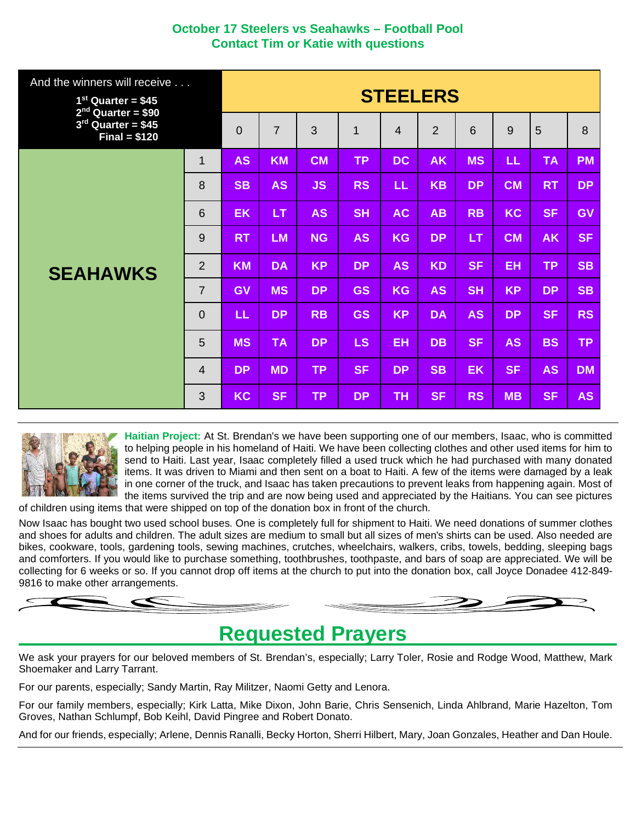## **October 17 Steelers vs Seahawks – Football Pool Contact Tim or Katie with questions**

| And the winners will receive<br>$1st$ Quarter = \$45<br>$2nd$ Quarter = \$90 |                 | <b>STEELERS</b> |                |           |           |                |                |           |           |           |           |
|------------------------------------------------------------------------------|-----------------|-----------------|----------------|-----------|-----------|----------------|----------------|-----------|-----------|-----------|-----------|
| $3rd$ Quarter = \$45<br>$Final = $120$                                       |                 | 0               | $\overline{7}$ | 3         | 1         | $\overline{4}$ | $\overline{2}$ | 6         | 9         | 5         | 8         |
|                                                                              | $\mathbf{1}$    | <b>AS</b>       | <b>KM</b>      | <b>CM</b> | <b>TP</b> | <b>DC</b>      | <b>AK</b>      | <b>MS</b> | LL.       | <b>TA</b> | <b>PM</b> |
|                                                                              | 8               | <b>SB</b>       | <b>AS</b>      | <b>JS</b> | <b>RS</b> | LL             | <b>KB</b>      | <b>DP</b> | <b>CM</b> | <b>RT</b> | <b>DP</b> |
|                                                                              | $6\phantom{1}6$ | EK              | <b>LT</b>      | <b>AS</b> | <b>SH</b> | <b>AC</b>      | AB             | <b>RB</b> | <b>KC</b> | <b>SF</b> | GV        |
|                                                                              | 9               | <b>RT</b>       | <b>LM</b>      | <b>NG</b> | <b>AS</b> | <b>KG</b>      | <b>DP</b>      | <b>LT</b> | <b>CM</b> | <b>AK</b> | <b>SF</b> |
| <b>SEAHAWKS</b>                                                              | $\overline{2}$  | <b>KM</b>       | <b>DA</b>      | <b>KP</b> | <b>DP</b> | <b>AS</b>      | <b>KD</b>      | <b>SF</b> | <b>EH</b> | TP.       | <b>SB</b> |
|                                                                              | $\overline{7}$  | <b>GV</b>       | <b>MS</b>      | <b>DP</b> | <b>GS</b> | <b>KG</b>      | <b>AS</b>      | <b>SH</b> | <b>KP</b> | <b>DP</b> | <b>SB</b> |
|                                                                              | $\overline{0}$  | LL.             | <b>DP</b>      | <b>RB</b> | <b>GS</b> | <b>KP</b>      | <b>DA</b>      | <b>AS</b> | <b>DP</b> | <b>SF</b> | <b>RS</b> |
|                                                                              | 5               | <b>MS</b>       | <b>TA</b>      | <b>DP</b> | LS        | <b>EH</b>      | <b>DB</b>      | <b>SF</b> | <b>AS</b> | <b>BS</b> | <b>TP</b> |
|                                                                              | $\overline{4}$  | <b>DP</b>       | <b>MD</b>      | <b>TP</b> | <b>SF</b> | <b>DP</b>      | <b>SB</b>      | <b>EK</b> | <b>SF</b> | <b>AS</b> | <b>DM</b> |
|                                                                              | 3               | <b>KC</b>       | <b>SF</b>      | <b>TP</b> | <b>DP</b> | <b>TH</b>      | <b>SF</b>      | <b>RS</b> | <b>MB</b> | <b>SF</b> | <b>AS</b> |



**Haitian Project:** At St. Brendan's we have been supporting one of our members, Isaac, who is committed to helping people in his homeland of Haiti. We have been collecting clothes and other used items for him to send to Haiti. Last year, Isaac completely filled a used truck which he had purchased with many donated items. It was driven to Miami and then sent on a boat to Haiti. A few of the items were damaged by a leak in one corner of the truck, and Isaac has taken precautions to prevent leaks from happening again. Most of the items survived the trip and are now being used and appreciated by the Haitians. You can see pictures

of children using items that were shipped on top of the donation box in front of the church.

Now Isaac has bought two used school buses. One is completely full for shipment to Haiti. We need donations of summer clothes and shoes for adults and children. The adult sizes are medium to small but all sizes of men's shirts can be used. Also needed are bikes, cookware, tools, gardening tools, sewing machines, crutches, wheelchairs, walkers, cribs, towels, bedding, sleeping bags and comforters. If you would like to purchase something, toothbrushes, toothpaste, and bars of soap are appreciated. We will be collecting for 6 weeks or so. If you cannot drop off items at the church to put into the donation box, call Joyce Donadee 412-849- 9816 to make other arrangements.

## **Requested Prayers**

We ask your prayers for our beloved members of St. Brendan's, especially; Larry Toler, Rosie and Rodge Wood, Matthew, Mark Shoemaker and Larry Tarrant.

For our parents, especially; Sandy Martin, Ray Militzer, Naomi Getty and Lenora.

For our family members, especially; Kirk Latta, Mike Dixon, John Barie, Chris Sensenich, Linda Ahlbrand, Marie Hazelton, Tom Groves, Nathan Schlumpf, Bob Keihl, David Pingree and Robert Donato.

And for our friends, especially; Arlene, Dennis Ranalli, Becky Horton, Sherri Hilbert, Mary, Joan Gonzales, Heather and Dan Houle.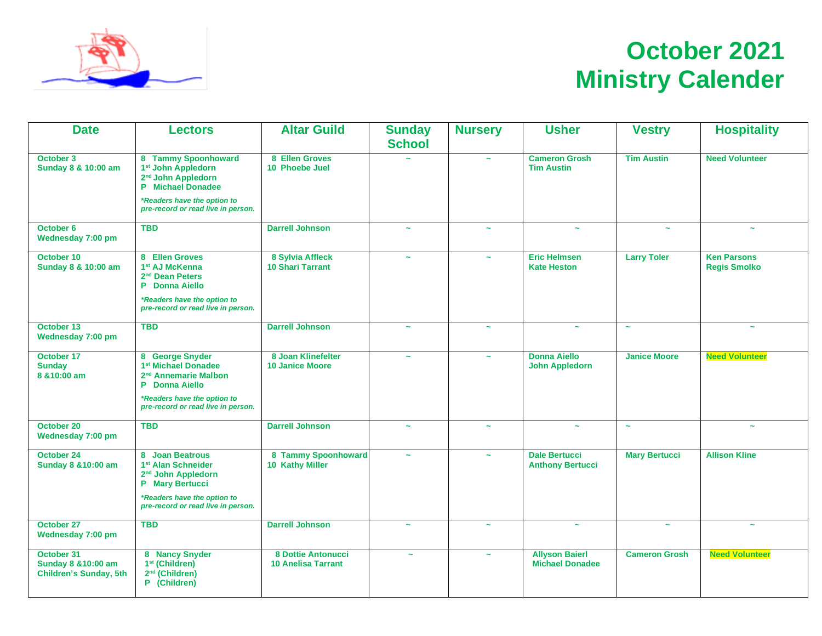

# **October 2021 Ministry Calender**

| <b>Date</b>                                                        | <b>Lectors</b>                                                                                                                               | <b>Altar Guild</b>                              | <b>Sunday</b><br><b>School</b> | <b>Nursery</b>        | <b>Usher</b>                                    | <b>Vestry</b>         | <b>Hospitality</b>                        |  |
|--------------------------------------------------------------------|----------------------------------------------------------------------------------------------------------------------------------------------|-------------------------------------------------|--------------------------------|-----------------------|-------------------------------------------------|-----------------------|-------------------------------------------|--|
| October 3<br>Sunday 8 & 10:00 am                                   | 8 Tammy Spoonhoward<br>1 <sup>st</sup> John Appledorn<br>2 <sup>nd</sup> John Appledorn<br><b>P</b> Michael Donadee                          | 8 Ellen Groves<br>10 Phoebe Juel                |                                | $\sim$                | <b>Cameron Grosh</b><br><b>Tim Austin</b>       | <b>Tim Austin</b>     | <b>Need Volunteer</b>                     |  |
|                                                                    | *Readers have the option to<br>pre-record or read live in person.                                                                            |                                                 |                                |                       |                                                 |                       |                                           |  |
| October 6<br>Wednesday 7:00 pm                                     | <b>TBD</b>                                                                                                                                   | <b>Darrell Johnson</b>                          | $\sim$                         | $\tilde{\phantom{a}}$ | $\sim$                                          | $\tilde{\phantom{a}}$ | $\sim$                                    |  |
| October 10<br>Sunday 8 & 10:00 am                                  | 8 Ellen Groves<br>1st AJ McKenna<br>2 <sup>nd</sup> Dean Peters<br><b>P</b> Donna Aiello<br>*Readers have the option to                      | 8 Sylvia Affleck<br><b>10 Shari Tarrant</b>     | $\sim$                         | $\sim$                | <b>Eric Helmsen</b><br><b>Kate Heston</b>       | <b>Larry Toler</b>    | <b>Ken Parsons</b><br><b>Regis Smolko</b> |  |
|                                                                    | pre-record or read live in person.                                                                                                           |                                                 |                                |                       |                                                 |                       |                                           |  |
| October 13<br>Wednesday 7:00 pm                                    | <b>TBD</b>                                                                                                                                   | <b>Darrell Johnson</b>                          | $\tilde{\phantom{a}}$          | $\sim$                | $\tilde{\phantom{a}}$                           | $\tilde{\phantom{a}}$ | $\sim$                                    |  |
| October 17<br><b>Sunday</b><br>8 & 10:00 am                        | 8 George Snyder<br>1 <sup>st</sup> Michael Donadee<br>2 <sup>nd</sup> Annemarie Malbon<br>P Donna Aiello<br>*Readers have the option to      | 8 Joan Klinefelter<br><b>10 Janice Moore</b>    | $\sim$                         | $\sim$                | <b>Donna Aiello</b><br><b>John Appledorn</b>    | <b>Janice Moore</b>   | <b>Need Volunteer</b>                     |  |
|                                                                    | pre-record or read live in person.                                                                                                           |                                                 |                                |                       |                                                 |                       |                                           |  |
| October 20<br>Wednesday 7:00 pm                                    | <b>TBD</b>                                                                                                                                   | <b>Darrell Johnson</b>                          | $\tilde{\phantom{a}}$          | $\tilde{\phantom{a}}$ | $\sim$                                          | $\sim$                |                                           |  |
| October 24<br>Sunday 8 & 10:00 am                                  | 8 Joan Beatrous<br>1 <sup>st</sup> Alan Schneider<br>2 <sup>nd</sup> John Appledorn<br><b>P</b> Mary Bertucci<br>*Readers have the option to | 8 Tammy Spoonhoward<br>10 Kathy Miller          | $\sim$                         | $\sim$                | <b>Dale Bertucci</b><br><b>Anthony Bertucci</b> | <b>Mary Bertucci</b>  | <b>Allison Kline</b>                      |  |
|                                                                    | pre-record or read live in person.                                                                                                           |                                                 |                                |                       |                                                 |                       |                                           |  |
| October 27<br>Wednesday 7:00 pm                                    | <b>TBD</b>                                                                                                                                   | <b>Darrell Johnson</b>                          | $\sim$                         | $\sim$                | $\tilde{\phantom{a}}$                           | $\sim$                | $\sim$                                    |  |
| October 31<br>Sunday 8 & 10:00 am<br><b>Children's Sunday, 5th</b> | 8 Nancy Snyder<br>1 <sup>st</sup> (Children)<br>2 <sup>nd</sup> (Children)<br>P (Children)                                                   | 8 Dottie Antonucci<br><b>10 Anelisa Tarrant</b> | $\sim$                         | $\tilde{\phantom{a}}$ | <b>Allyson Baierl</b><br><b>Michael Donadee</b> | <b>Cameron Grosh</b>  | <b>Need Volunteer</b>                     |  |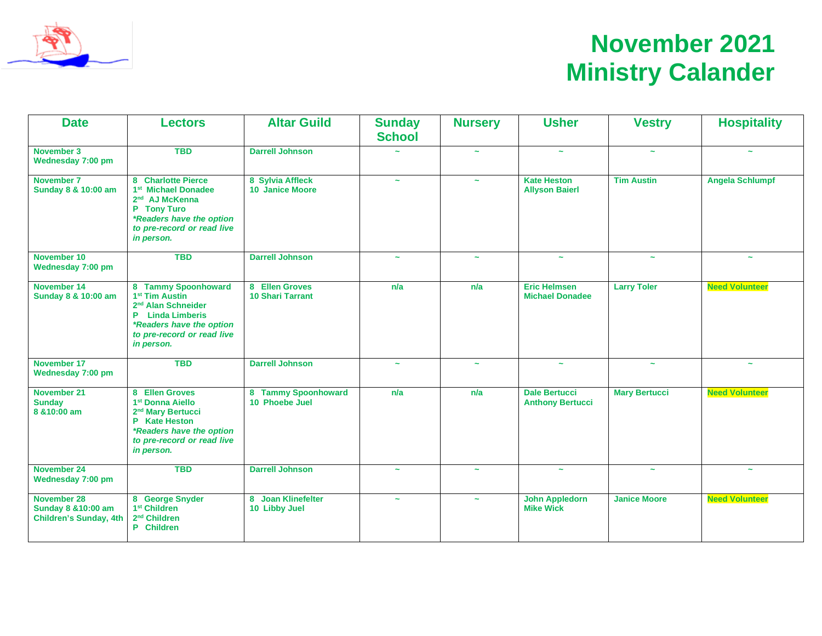

# **November 2021 Ministry Calander**

| <b>Date</b>                                                                | <b>Lectors</b>                                                                                                                                                                         | <b>Altar Guild</b>                         | <b>Sunday</b><br><b>School</b> | <b>Nursery</b>        | <b>Usher</b>                                    | <b>Vestry</b>         | <b>Hospitality</b>     |  |
|----------------------------------------------------------------------------|----------------------------------------------------------------------------------------------------------------------------------------------------------------------------------------|--------------------------------------------|--------------------------------|-----------------------|-------------------------------------------------|-----------------------|------------------------|--|
| November 3<br>Wednesday 7:00 pm                                            | <b>TBD</b>                                                                                                                                                                             | <b>Darrell Johnson</b>                     |                                | $\sim$                | $\sim$                                          | $\sim$                | $\tilde{\phantom{a}}$  |  |
| November 7<br>Sunday 8 & 10:00 am                                          | 8 Charlotte Pierce<br>1 <sup>st</sup> Michael Donadee<br>2 <sup>nd</sup> AJ McKenna<br>P Tony Turo<br>*Readers have the option<br>to pre-record or read live<br>in person.             | 8 Sylvia Affleck<br><b>10 Janice Moore</b> | $\sim$                         | $\tilde{\phantom{a}}$ | <b>Kate Heston</b><br><b>Allyson Baierl</b>     | <b>Tim Austin</b>     | <b>Angela Schlumpf</b> |  |
| November 10<br>Wednesday 7:00 pm                                           | <b>TBD</b>                                                                                                                                                                             | <b>Darrell Johnson</b>                     | $\sim$                         | $\tilde{\phantom{a}}$ | $\tilde{\phantom{a}}$                           | $\sim$                | $\tilde{\phantom{a}}$  |  |
| November 14<br>Sunday 8 & 10:00 am                                         | 8 Tammy Spoonhoward<br>1 <sup>st</sup> Tim Austin<br>2 <sup>nd</sup> Alan Schneider<br><b>P</b> Linda Limberis<br>*Readers have the option<br>to pre-record or read live<br>in person. | 8 Ellen Groves<br><b>10 Shari Tarrant</b>  | n/a                            | n/a                   | <b>Eric Helmsen</b><br><b>Michael Donadee</b>   | <b>Larry Toler</b>    | <b>Need Volunteer</b>  |  |
| November 17<br>Wednesday 7:00 pm                                           | <b>TBD</b>                                                                                                                                                                             | <b>Darrell Johnson</b>                     | $\sim$                         | $\tilde{\phantom{a}}$ | $\tilde{\phantom{a}}$                           | $\tilde{\phantom{a}}$ | $\sim$                 |  |
| November 21<br><b>Sunday</b><br>8 & 10:00 am                               | 8 Ellen Groves<br>1 <sup>st</sup> Donna Aiello<br>2 <sup>nd</sup> Mary Bertucci<br>P Kate Heston<br>*Readers have the option<br>to pre-record or read live<br>in person.               | 8 Tammy Spoonhoward<br>10 Phoebe Juel      | n/a                            | n/a                   | <b>Dale Bertucci</b><br><b>Anthony Bertucci</b> | <b>Mary Bertucci</b>  | <b>Need Volunteer</b>  |  |
| <b>November 24</b><br>Wednesday 7:00 pm                                    | <b>TBD</b>                                                                                                                                                                             | <b>Darrell Johnson</b>                     | $\tilde{\phantom{a}}$          | $\tilde{\phantom{a}}$ | $\tilde{\phantom{a}}$                           | $\sim$                | $\tilde{\phantom{a}}$  |  |
| <b>November 28</b><br>Sunday 8 & 10:00 am<br><b>Children's Sunday, 4th</b> | 8 George Snyder<br>1 <sup>st</sup> Children<br>2 <sup>nd</sup> Children<br>P Children                                                                                                  | 8 Joan Klinefelter<br>10 Libby Juel        | $\sim$                         | $\tilde{\phantom{a}}$ | <b>John Appledorn</b><br><b>Mike Wick</b>       | <b>Janice Moore</b>   | <b>Need Volunteer</b>  |  |